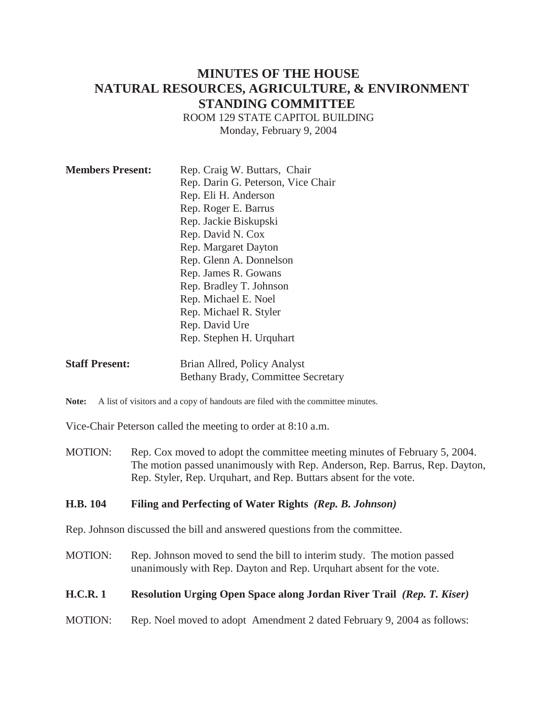# **MINUTES OF THE HOUSE NATURAL RESOURCES, AGRICULTURE, & ENVIRONMENT STANDING COMMITTEE**

ROOM 129 STATE CAPITOL BUILDING Monday, February 9, 2004

| <b>Members Present:</b> | Rep. Craig W. Buttars, Chair<br>Rep. Darin G. Peterson, Vice Chair<br>Rep. Eli H. Anderson<br>Rep. Roger E. Barrus<br>Rep. Jackie Biskupski<br>Rep. David N. Cox<br>Rep. Margaret Dayton<br>Rep. Glenn A. Donnelson<br>Rep. James R. Gowans<br>Rep. Bradley T. Johnson<br>Rep. Michael E. Noel<br>Rep. Michael R. Styler<br>Rep. David Ure |
|-------------------------|--------------------------------------------------------------------------------------------------------------------------------------------------------------------------------------------------------------------------------------------------------------------------------------------------------------------------------------------|
|                         | Rep. Stephen H. Urquhart                                                                                                                                                                                                                                                                                                                   |

**Staff Present:** Brian Allred, Policy Analyst Bethany Brady, Committee Secretary

Note: A list of visitors and a copy of handouts are filed with the committee minutes.

Vice-Chair Peterson called the meeting to order at 8:10 a.m.

MOTION: Rep. Cox moved to adopt the committee meeting minutes of February 5, 2004. The motion passed unanimously with Rep. Anderson, Rep. Barrus, Rep. Dayton, Rep. Styler, Rep. Urquhart, and Rep. Buttars absent for the vote.

### **H.B. 104 Filing and Perfecting of Water Rights** *(Rep. B. Johnson)*

Rep. Johnson discussed the bill and answered questions from the committee.

MOTION: Rep. Johnson moved to send the bill to interim study. The motion passed unanimously with Rep. Dayton and Rep. Urquhart absent for the vote.

### **H.C.R. 1 Resolution Urging Open Space along Jordan River Trail** *(Rep. T. Kiser)*

MOTION: Rep. Noel moved to adopt Amendment 2 dated February 9, 2004 as follows: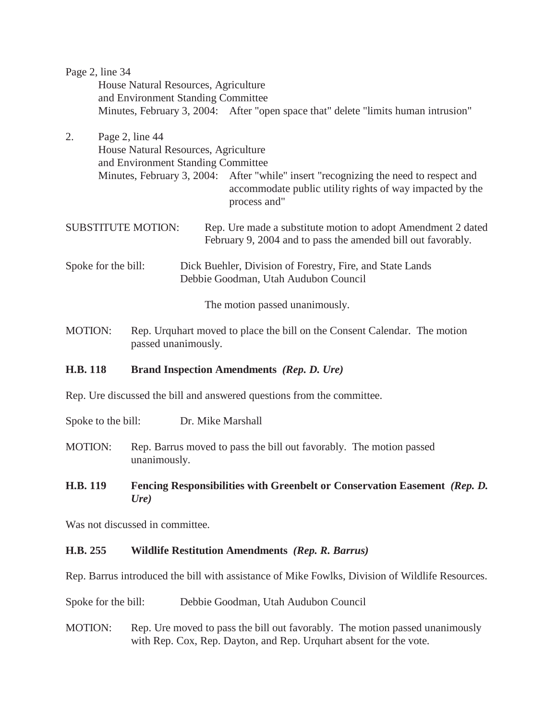|    | Page 2, line 34                      |                                                                                                                                                                  |
|----|--------------------------------------|------------------------------------------------------------------------------------------------------------------------------------------------------------------|
|    | House Natural Resources, Agriculture |                                                                                                                                                                  |
|    | and Environment Standing Committee   |                                                                                                                                                                  |
|    |                                      | Minutes, February 3, 2004: After "open space that" delete "limits human intrusion"                                                                               |
| 2. | Page 2, line 44                      |                                                                                                                                                                  |
|    | House Natural Resources, Agriculture |                                                                                                                                                                  |
|    | and Environment Standing Committee   |                                                                                                                                                                  |
|    |                                      | Minutes, February 3, 2004: After "while" insert "recognizing the need to respect and<br>accommodate public utility rights of way impacted by the<br>process and" |
|    | <b>SUBSTITUTE MOTION:</b>            | Rep. Ure made a substitute motion to adopt Amendment 2 dated<br>February 9, 2004 and to pass the amended bill out favorably.                                     |
|    | Spoke for the bill:                  | Dick Buehler, Division of Forestry, Fire, and State Lands                                                                                                        |
|    |                                      | Debbie Goodman, Utah Audubon Council                                                                                                                             |
|    |                                      | The motion passed unanimously.                                                                                                                                   |
|    |                                      |                                                                                                                                                                  |

MOTION: Rep. Urquhart moved to place the bill on the Consent Calendar. The motion passed unanimously.

### **H.B. 118 Brand Inspection Amendments** *(Rep. D. Ure)*

Rep. Ure discussed the bill and answered questions from the committee.

Spoke to the bill: Dr. Mike Marshall

MOTION: Rep. Barrus moved to pass the bill out favorably. The motion passed unanimously.

# **H.B. 119 Fencing Responsibilities with Greenbelt or Conservation Easement** *(Rep. D. Ure)*

Was not discussed in committee.

# **H.B. 255 Wildlife Restitution Amendments** *(Rep. R. Barrus)*

Rep. Barrus introduced the bill with assistance of Mike Fowlks, Division of Wildlife Resources.

Spoke for the bill: Debbie Goodman, Utah Audubon Council

MOTION: Rep. Ure moved to pass the bill out favorably. The motion passed unanimously with Rep. Cox, Rep. Dayton, and Rep. Urquhart absent for the vote.